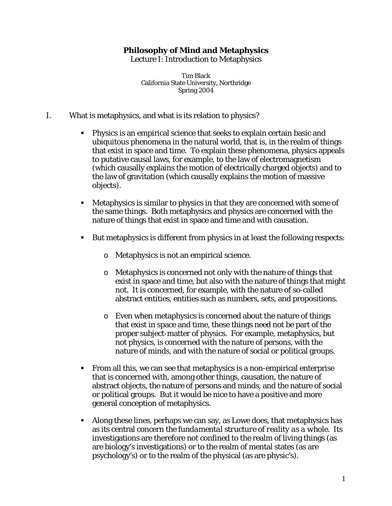## **Philosophy of Mind and Metaphysics**  Lecture I: Introduction to Metaphysics

Tim Black California State University, Northridge Spring 2004

- I. What is metaphysics, and what is its relation to physics?
	- ! Physics is an empirical science that seeks to explain certain basic and ubiquitous phenomena in the natural world, that is, in the realm of things that exist in space and time. To explain these phenomena, physics appeals to putative causal laws, for example, to the law of electromagnetism (which causally explains the motion of electrically charged objects) and to the law of gravitation (which causally explains the motion of massive objects).
	- ! Metaphysics is similar to physics in that they are concerned with some of the same things. Both metaphysics and physics are concerned with the nature of things that exist in space and time and with causation.
	- ! But metaphysics is different from physics in at least the following respects:
		- o Metaphysics is not an empirical science.
		- o Metaphysics is concerned not only with the nature of things that exist in space and time, but also with the nature of things that might not. It is concerned, for example, with the nature of so-called abstract entities, entities such as numbers, sets, and propositions.
		- o Even when metaphysics is concerned about the nature of things that exist in space and time, these things need not be part of the proper subject-matter of physics. For example, metaphysics, but not physics, is concerned with the nature of persons, with the nature of minds, and with the nature of social or political groups.
	- ! From all this, we can see that metaphysics is a non-empirical enterprise that is concerned with, among other things, causation, the nature of abstract objects, the nature of persons and minds, and the nature of social or political groups. But it would be nice to have a positive and more general conception of metaphysics.
	- ! Along these lines, perhaps we can say, as Lowe does, that metaphysics has as its central concern *the fundamental structure of reality as a whole*. Its investigations are therefore not confined to the realm of living things (as are biology's investigations) or to the realm of mental states (as are psychology's) or to the realm of the physical (as are physic's).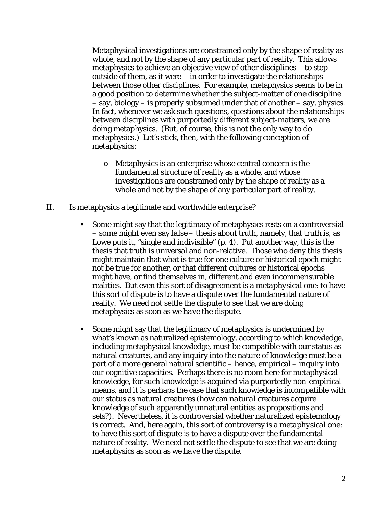Metaphysical investigations are constrained only by the shape of reality *as whole*, and not by the shape of any particular part of reality. This allows metaphysics to achieve an objective view of other disciplines – to step outside of them, as it were – in order to investigate the relationships between those other disciplines. For example, metaphysics seems to be in a good position to determine whether the subject-matter of one discipline – say, biology – is properly subsumed under that of another – say, physics. In fact, whenever we ask such questions, questions about the relationships between disciplines with purportedly different subject-matters, we are doing metaphysics. (But, of course, this is not the *only* way to do metaphysics.) Let's stick, then, with the following conception of metaphysics:

- o Metaphysics is an enterprise whose central concern is the fundamental structure of reality as a whole, and whose investigations are constrained only by the shape of reality as a whole and not by the shape of any particular part of reality.
- II. Is metaphysics a legitimate and worthwhile enterprise?
	- Some might say that the legitimacy of metaphysics rests on a controversial – some might even say *false* – thesis about truth, namely, that truth is, as Lowe puts it, "single and indivisible" (p. 4). Put another way, this is the thesis that truth is universal and non-relative. Those who deny this thesis might maintain that what is true for one culture or historical epoch might not be true for another, or that different cultures or historical epochs might have, or find themselves in, different and even incommensurable realities. But even this sort of disagreement is a *metaphysical* one: to have this sort of dispute is to have a dispute over the fundamental nature of reality. We need not *settle* the dispute to see that we are doing metaphysics as soon as we *have* the dispute.
	- ! Some might say that the legitimacy of metaphysics is undermined by what's known as naturalized epistemology, according to which knowledge, including metaphysical knowledge, must be compatible with our status as natural creatures, and any inquiry into the nature of knowledge must be a part of a more general natural scientific – hence, empirical – inquiry into our cognitive capacities. Perhaps there is no room here for metaphysical knowledge, for such knowledge is acquired via purportedly non-empirical means, and it is perhaps the case that such knowledge is incompatible with our status as natural creatures (how can *natural* creatures acquire knowledge of such apparently *un*natural entities as propositions and sets?). Nevertheless, it is controversial whether naturalized epistemology is correct. And, here again, this sort of controversy is a *metaphysical* one: to have this sort of dispute is to have a dispute over the fundamental nature of reality. We need not *settle* the dispute to see that we are doing metaphysics as soon as we *have* the dispute.